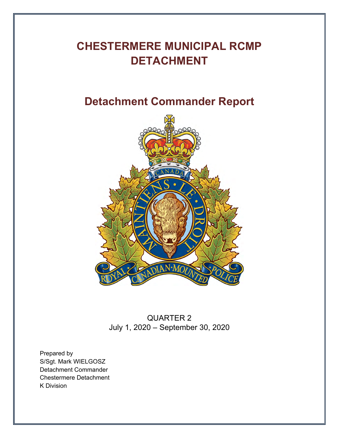# **CHESTERMERE MUNICIPAL RCMP DETACHMENT**

# **Detachment Commander Report**



QUARTER 2 July 1, 2020 – September 30, 2020

Prepared by S/Sgt. Mark WIELGOSZ Detachment Commander Chestermere Detachment K Division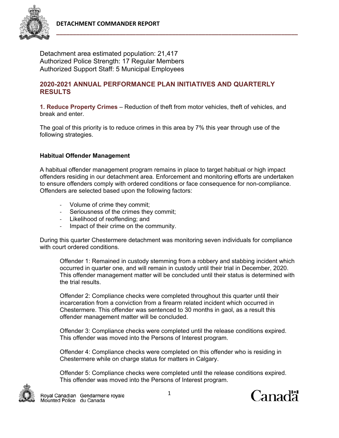

Detachment area estimated population: 21,417 Authorized Police Strength: 17 Regular Members Authorized Support Staff: 5 Municipal Employees

## **2020-2021 ANNUAL PERFORMANCE PLAN INITIATIVES AND QUARTERLY RESULTS**

**1. Reduce Property Crimes** – Reduction of theft from motor vehicles, theft of vehicles, and break and enter.

The goal of this priority is to reduce crimes in this area by 7% this year through use of the following strategies.

#### **Habitual Offender Management**

A habitual offender management program remains in place to target habitual or high impact offenders residing in our detachment area. Enforcement and monitoring efforts are undertaken to ensure offenders comply with ordered conditions or face consequence for non-compliance. Offenders are selected based upon the following factors:

- ‐ Volume of crime they commit;
- ‐ Seriousness of the crimes they commit;
- ‐ Likelihood of reoffending; and
- ‐ Impact of their crime on the community.

During this quarter Chestermere detachment was monitoring seven individuals for compliance with court ordered conditions.

Offender 1: Remained in custody stemming from a robbery and stabbing incident which occurred in quarter one, and will remain in custody until their trial in December, 2020. This offender management matter will be concluded until their status is determined with the trial results.

Offender 2: Compliance checks were completed throughout this quarter until their incarceration from a conviction from a firearm related incident which occurred in Chestermere. This offender was sentenced to 30 months in gaol, as a result this offender management matter will be concluded.

Offender 3: Compliance checks were completed until the release conditions expired. This offender was moved into the Persons of Interest program.

Offender 4: Compliance checks were completed on this offender who is residing in Chestermere while on charge status for matters in Calgary.

Offender 5: Compliance checks were completed until the release conditions expired. This offender was moved into the Persons of Interest program.



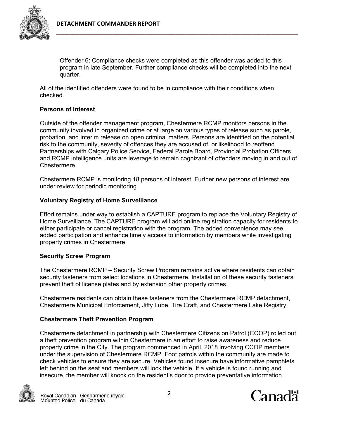

Offender 6: Compliance checks were completed as this offender was added to this program in late September. Further compliance checks will be completed into the next quarter.

All of the identified offenders were found to be in compliance with their conditions when checked.

#### **Persons of Interest**

Outside of the offender management program, Chestermere RCMP monitors persons in the community involved in organized crime or at large on various types of release such as parole, probation, and interim release on open criminal matters. Persons are identified on the potential risk to the community, severity of offences they are accused of, or likelihood to reoffend. Partnerships with Calgary Police Service, Federal Parole Board, Provincial Probation Officers, and RCMP intelligence units are leverage to remain cognizant of offenders moving in and out of Chestermere.

Chestermere RCMP is monitoring 18 persons of interest. Further new persons of interest are under review for periodic monitoring.

#### **Voluntary Registry of Home Surveillance**

Effort remains under way to establish a CAPTURE program to replace the Voluntary Registry of Home Surveillance. The CAPTURE program will add online registration capacity for residents to either participate or cancel registration with the program. The added convenience may see added participation and enhance timely access to information by members while investigating property crimes in Chestermere.

#### **Security Screw Program**

The Chestermere RCMP – Security Screw Program remains active where residents can obtain security fasteners from select locations in Chestermere. Installation of these security fasteners prevent theft of license plates and by extension other property crimes.

Chestermere residents can obtain these fasteners from the Chestermere RCMP detachment, Chestermere Municipal Enforcement, Jiffy Lube, Tire Craft, and Chestermere Lake Registry.

#### **Chestermere Theft Prevention Program**

Chestermere detachment in partnership with Chestermere Citizens on Patrol (CCOP) rolled out a theft prevention program within Chestermere in an effort to raise awareness and reduce property crime in the City. The program commenced in April, 2018 involving CCOP members under the supervision of Chestermere RCMP. Foot patrols within the community are made to check vehicles to ensure they are secure. Vehicles found insecure have informative pamphlets left behind on the seat and members will lock the vehicle. If a vehicle is found running and insecure, the member will knock on the resident's door to provide preventative information.



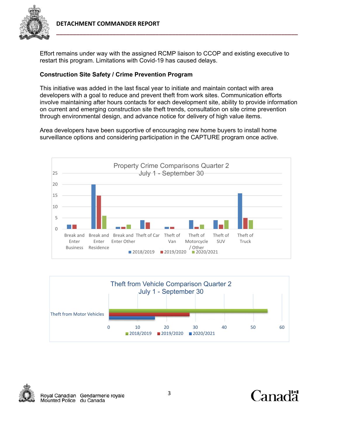

Effort remains under way with the assigned RCMP liaison to CCOP and existing executive to restart this program. Limitations with Covid-19 has caused delays.

# **Construction Site Safety / Crime Prevention Program**

This initiative was added in the last fiscal year to initiate and maintain contact with area developers with a goal to reduce and prevent theft from work sites. Communication efforts involve maintaining after hours contacts for each development site, ability to provide information on current and emerging construction site theft trends, consultation on site crime prevention through environmental design, and advance notice for delivery of high value items.

Area developers have been supportive of encouraging new home buyers to install home surveillance options and considering participation in the CAPTURE program once active.







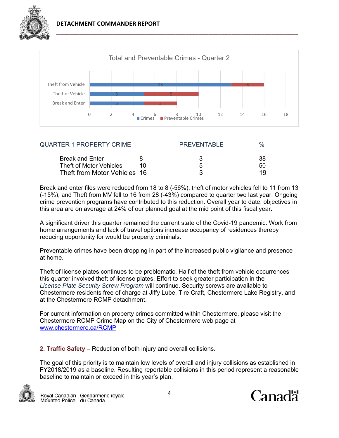



| <b>QUARTER 1 PROPERTY CRIME</b> | <b>PREVENTABLE</b> | $\frac{1}{2}$ |
|---------------------------------|--------------------|---------------|
| <b>Break and Enter</b>          |                    | 38            |
| Theft of Motor Vehicles         | h                  | 50            |
| Theft from Motor Vehicles 16    |                    | 1 Q           |

Break and enter files were reduced from 18 to 8 (-56%), theft of motor vehicles fell to 11 from 13 (-15%), and Theft from MV fell to 16 from 28 (-43%) compared to quarter two last year. Ongoing crime prevention programs have contributed to this reduction. Overall year to date, objectives in this area are on average at 24% of our planned goal at the mid point of this fiscal year.

A significant driver this quarter remained the current state of the Covid-19 pandemic. Work from home arrangements and lack of travel options increase occupancy of residences thereby reducing opportunity for would be property criminals.

Preventable crimes have been dropping in part of the increased public vigilance and presence at home.

Theft of license plates continues to be problematic. Half of the theft from vehicle occurrences this quarter involved theft of license plates. Effort to seek greater participation in the *License Plate Security Screw Program* will continue. Security screws are available to Chestermere residents free of charge at Jiffy Lube, Tire Craft, Chestermere Lake Registry, and at the Chestermere RCMP detachment.

For current information on property crimes committed within Chestermere, please visit the Chestermere RCMP Crime Map on the City of Chestermere web page at www.chestermere.ca/RCMP

**2. Traffic Safety –** Reduction of both injury and overall collisions.

The goal of this priority is to maintain low levels of overall and injury collisions as established in FY2018/2019 as a baseline. Resulting reportable collisions in this period represent a reasonable baseline to maintain or exceed in this year's plan.



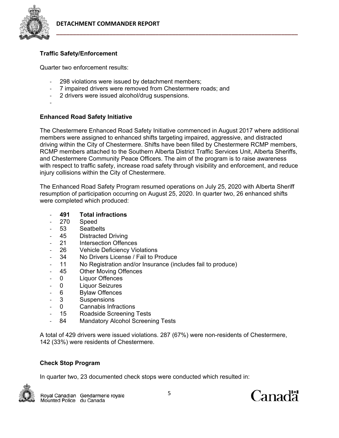

# **Traffic Safety/Enforcement**

Quarter two enforcement results:

- ‐ 298 violations were issued by detachment members;
- ‐ 7 impaired drivers were removed from Chestermere roads; and
- ‐ 2 drivers were issued alcohol/drug suspensions.
- ‐

## **Enhanced Road Safety Initiative**

The Chestermere Enhanced Road Safety Initiative commenced in August 2017 where additional members were assigned to enhanced shifts targeting impaired, aggressive, and distracted driving within the City of Chestermere. Shifts have been filled by Chestermere RCMP members, RCMP members attached to the Southern Alberta District Traffic Services Unit, Alberta Sheriffs, and Chestermere Community Peace Officers. The aim of the program is to raise awareness with respect to traffic safety, increase road safety through visibility and enforcement, and reduce injury collisions within the City of Chestermere.

The Enhanced Road Safety Program resumed operations on July 25, 2020 with Alberta Sheriff resumption of participation occurring on August 25, 2020. In quarter two, 26 enhanced shifts were completed which produced:

- ‐ **491 Total infractions**
- ‐ 270 Speed
- ‐ 53 Seatbelts
- ‐ 45 Distracted Driving
- ‐ 21 Intersection Offences
- 26 Vehicle Deficiency Violations
- 34 No Drivers License / Fail to Produce
- 11 No Registration and/or Insurance (includes fail to produce)
- 45 Other Moving Offences
- ‐ 0 Liquor Offences
- ‐ 0 Liquor Seizures
- ‐ 6 Bylaw Offences
- ‐ 3 Suspensions
- ‐ 0 Cannabis Infractions
- ‐ 15 Roadside Screening Tests
- 84 Mandatory Alcohol Screening Tests

A total of 429 drivers were issued violations. 287 (67%) were non-residents of Chestermere, 142 (33%) were residents of Chestermere.

### **Check Stop Program**

In quarter two, 23 documented check stops were conducted which resulted in:



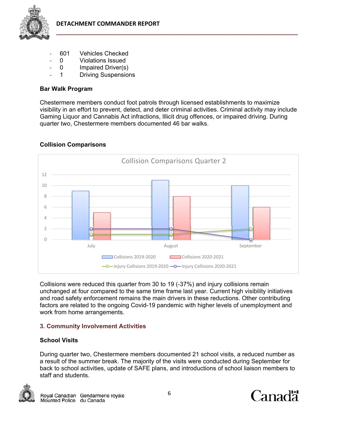

- ‐ 601 Vehicles Checked
- ‐ 0 Violations Issued
- 0 Impaired Driver(s)
- 1 Driving Suspensions

# **Bar Walk Program**

Chestermere members conduct foot patrols through licensed establishments to maximize visibility in an effort to prevent, detect, and deter criminal activities. Criminal activity may include Gaming Liquor and Cannabis Act infractions, Illicit drug offences, or impaired driving. During quarter two, Chestermere members documented 46 bar walks.



# **Collision Comparisons**

Collisions were reduced this quarter from 30 to 19 (-37%) and injury collisions remain unchanged at four compared to the same time frame last year. Current high visibility initiatives and road safety enforcement remains the main drivers in these reductions. Other contributing factors are related to the ongoing Covid-19 pandemic with higher levels of unemployment and work from home arrangements.

# **3. Community Involvement Activities**

# **School Visits**

During quarter two, Chestermere members documented 21 school visits, a reduced number as a result of the summer break. The majority of the visits were conducted during September for back to school activities, update of SAFE plans, and introductions of school liaison members to staff and students.



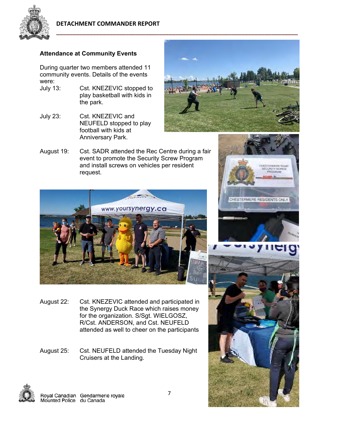

### **Attendance at Community Events**

During quarter two members attended 11 community events. Details of the events were:<br>July 13:

- Cst. KNEZEVIC stopped to play basketball with kids in the park.
- July 23: Cst. KNEZEVIC and NEUFELD stopped to play football with kids at Anniversary Park.



CHESTERMERE ROMP<br>SECURITY SCREW<br>FROGRAM **CMP** 

CHESTERMERE RESIDENTS ONLY

August 19: Cst. SADR attended the Rec Centre during a fair event to promote the Security Screw Program and install screws on vehicles per resident request.



- August 22: Cst. KNEZEVIC attended and participated in the Synergy Duck Race which raises money for the organization. S/Sgt. WIELGOSZ, R/Cst. ANDERSON, and Cst. NEUFELD attended as well to cheer on the participants
- August 25: Cst. NEUFELD attended the Tuesday Night Cruisers at the Landing.

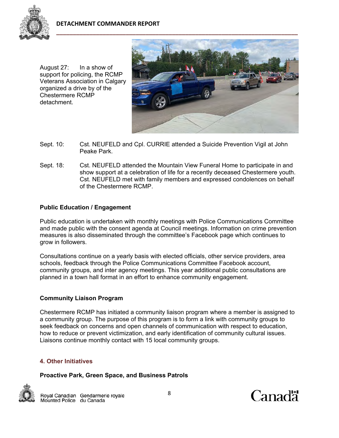

August 27: In a show of support for policing, the RCMP Veterans Association in Calgary organized a drive by of the Chestermere RCMP detachment.



- Sept. 10: Cst. NEUFELD and Cpl. CURRIE attended a Suicide Prevention Vigil at John Peake Park.
- Sept. 18: Cst. NEUFELD attended the Mountain View Funeral Home to participate in and show support at a celebration of life for a recently deceased Chestermere youth. Cst. NEUFELD met with family members and expressed condolences on behalf of the Chestermere RCMP.

## **Public Education / Engagement**

Public education is undertaken with monthly meetings with Police Communications Committee and made public with the consent agenda at Council meetings. Information on crime prevention measures is also disseminated through the committee's Facebook page which continues to grow in followers.

Consultations continue on a yearly basis with elected officials, other service providers, area schools, feedback through the Police Communications Committee Facebook account, community groups, and inter agency meetings. This year additional public consultations are planned in a town hall format in an effort to enhance community engagement.

### **Community Liaison Program**

Chestermere RCMP has initiated a community liaison program where a member is assigned to a community group. The purpose of this program is to form a link with community groups to seek feedback on concerns and open channels of communication with respect to education, how to reduce or prevent victimization, and early identification of community cultural issues. Liaisons continue monthly contact with 15 local community groups.

### **4. Other Initiatives**

### **Proactive Park, Green Space, and Business Patrols**



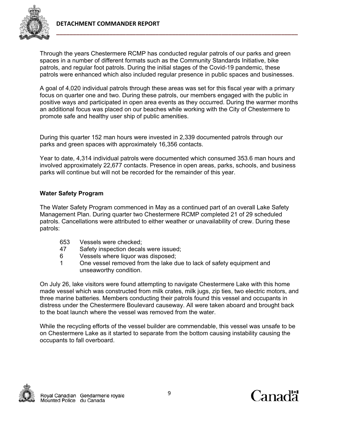

Through the years Chestermere RCMP has conducted regular patrols of our parks and green spaces in a number of different formats such as the Community Standards Initiative, bike patrols, and regular foot patrols. During the initial stages of the Covid-19 pandemic, these patrols were enhanced which also included regular presence in public spaces and businesses.

A goal of 4,020 individual patrols through these areas was set for this fiscal year with a primary focus on quarter one and two. During these patrols, our members engaged with the public in positive ways and participated in open area events as they occurred. During the warmer months an additional focus was placed on our beaches while working with the City of Chestermere to promote safe and healthy user ship of public amenities.

During this quarter 152 man hours were invested in 2,339 documented patrols through our parks and green spaces with approximately 16,356 contacts.

Year to date, 4,314 individual patrols were documented which consumed 353.6 man hours and involved approximately 22,677 contacts. Presence in open areas, parks, schools, and business parks will continue but will not be recorded for the remainder of this year.

# **Water Safety Program**

The Water Safety Program commenced in May as a continued part of an overall Lake Safety Management Plan. During quarter two Chestermere RCMP completed 21 of 29 scheduled patrols. Cancellations were attributed to either weather or unavailability of crew. During these patrols:

- 653 Vessels were checked;
- 47 Safety inspection decals were issued;
- 6 Vessels where liquor was disposed;
- 1 One vessel removed from the lake due to lack of safety equipment and unseaworthy condition.

On July 26, lake visitors were found attempting to navigate Chestermere Lake with this home made vessel which was constructed from milk crates, milk jugs, zip ties, two electric motors, and three marine batteries. Members conducting their patrols found this vessel and occupants in distress under the Chestermere Boulevard causeway. All were taken aboard and brought back to the boat launch where the vessel was removed from the water.

While the recycling efforts of the vessel builder are commendable, this vessel was unsafe to be on Chestermere Lake as it started to separate from the bottom causing instability causing the occupants to fall overboard.



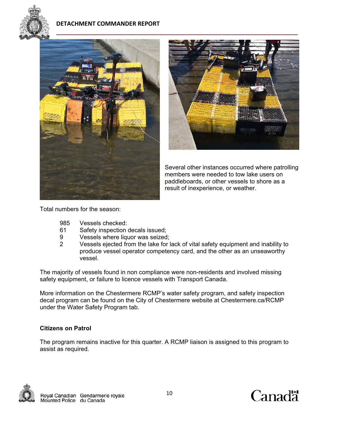

## **DETACHMENT COMMANDER REPORT**





Several other instances occurred where patrolling members were needed to tow lake users on paddleboards, or other vessels to shore as a result of inexperience, or weather.

Total numbers for the season:

- 985 Vessels checked:
- 61 Safety inspection decals issued;
- 9 Vessels where liquor was seized;
- 2 Vessels ejected from the lake for lack of vital safety equipment and inability to produce vessel operator competency card, and the other as an unseaworthy vessel.

The majority of vessels found in non compliance were non-residents and involved missing safety equipment, or failure to licence vessels with Transport Canada.

More information on the Chestermere RCMP's water safety program, and safety inspection decal program can be found on the City of Chestermere website at Chestermere.ca/RCMP under the Water Safety Program tab.

### **Citizens on Patrol**

The program remains inactive for this quarter. A RCMP liaison is assigned to this program to assist as required.



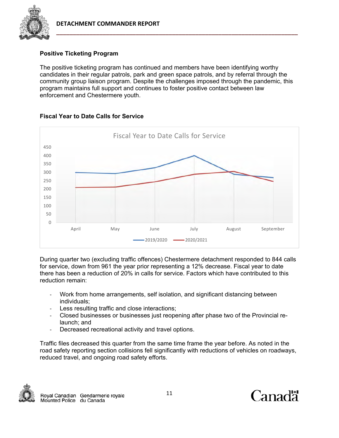



# **Positive Ticketing Program**

The positive ticketing program has continued and members have been identifying worthy candidates in their regular patrols, park and green space patrols, and by referral through the community group liaison program. Despite the challenges imposed through the pandemic, this program maintains full support and continues to foster positive contact between law enforcement and Chestermere youth.



## **Fiscal Year to Date Calls for Service**

During quarter two (excluding traffic offences) Chestermere detachment responded to 844 calls for service, down from 961 the year prior representing a 12% decrease. Fiscal year to date there has been a reduction of 20% in calls for service. Factors which have contributed to this reduction remain:

- ‐ Work from home arrangements, self isolation, and significant distancing between individuals;
- ‐ Less resulting traffic and close interactions;
- ‐ Closed businesses or businesses just reopening after phase two of the Provincial relaunch; and
- Decreased recreational activity and travel options.

Traffic files decreased this quarter from the same time frame the year before. As noted in the road safety reporting section collisions fell significantly with reductions of vehicles on roadways, reduced travel, and ongoing road safety efforts.



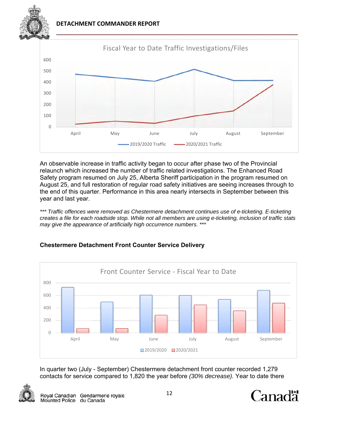**DETACHMENT COMMANDER REPORT** 



An observable increase in traffic activity began to occur after phase two of the Provincial relaunch which increased the number of traffic related investigations. The Enhanced Road Safety program resumed on July 25, Alberta Sheriff participation in the program resumed on August 25, and full restoration of regular road safety initiatives are seeing increases through to the end of this quarter. Performance in this area nearly intersects in September between this year and last year.

*\*\*\* Traffic offences were removed as Chestermere detachment continues use of e-ticketing. E-ticketing creates a file for each roadside stop. While not all members are using e-ticketing, inclusion of traffic stats may give the appearance of artificially high occurrence numbers. \*\*\** 



# **Chestermere Detachment Front Counter Service Delivery**

In quarter two (July - September) Chestermere detachment front counter recorded 1,279 contacts for service compared to 1,820 the year before *(30% decrease).* Year to date there